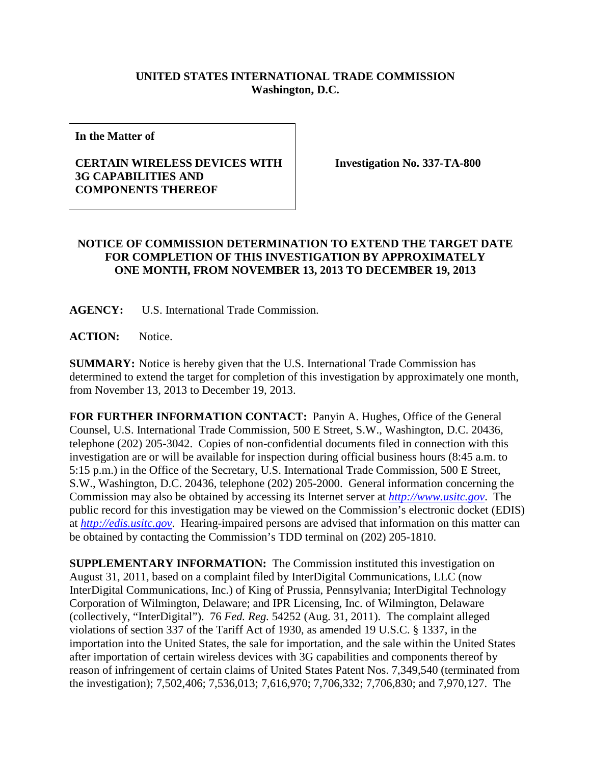## **UNITED STATES INTERNATIONAL TRADE COMMISSION Washington, D.C.**

**In the Matter of** 

## **CERTAIN WIRELESS DEVICES WITH 3G CAPABILITIES AND COMPONENTS THEREOF**

**Investigation No. 337-TA-800**

## **NOTICE OF COMMISSION DETERMINATION TO EXTEND THE TARGET DATE FOR COMPLETION OF THIS INVESTIGATION BY APPROXIMATELY ONE MONTH, FROM NOVEMBER 13, 2013 TO DECEMBER 19, 2013**

**AGENCY:** U.S. International Trade Commission.

**ACTION:** Notice.

**SUMMARY:** Notice is hereby given that the U.S. International Trade Commission has determined to extend the target for completion of this investigation by approximately one month, from November 13, 2013 to December 19, 2013.

**FOR FURTHER INFORMATION CONTACT:** Panyin A. Hughes, Office of the General Counsel, U.S. International Trade Commission, 500 E Street, S.W., Washington, D.C. 20436, telephone (202) 205-3042. Copies of non-confidential documents filed in connection with this investigation are or will be available for inspection during official business hours (8:45 a.m. to 5:15 p.m.) in the Office of the Secretary, U.S. International Trade Commission, 500 E Street, S.W., Washington, D.C. 20436, telephone (202) 205-2000. General information concerning the Commission may also be obtained by accessing its Internet server at *[http://www.usitc.gov](http://www.usitc.gov/)*. The public record for this investigation may be viewed on the Commission's electronic docket (EDIS) at *[http://edis.usitc.gov](http://edis.usitc.gov/)*. Hearing-impaired persons are advised that information on this matter can be obtained by contacting the Commission's TDD terminal on (202) 205-1810.

**SUPPLEMENTARY INFORMATION:** The Commission instituted this investigation on August 31, 2011, based on a complaint filed by InterDigital Communications, LLC (now InterDigital Communications, Inc.) of King of Prussia, Pennsylvania; InterDigital Technology Corporation of Wilmington, Delaware; and IPR Licensing, Inc. of Wilmington, Delaware (collectively, "InterDigital"). 76 *Fed. Reg.* 54252 (Aug. 31, 2011). The complaint alleged violations of section 337 of the Tariff Act of 1930, as amended 19 U.S.C. § 1337, in the importation into the United States, the sale for importation, and the sale within the United States after importation of certain wireless devices with 3G capabilities and components thereof by reason of infringement of certain claims of United States Patent Nos. 7,349,540 (terminated from the investigation); 7,502,406; 7,536,013; 7,616,970; 7,706,332; 7,706,830; and 7,970,127. The